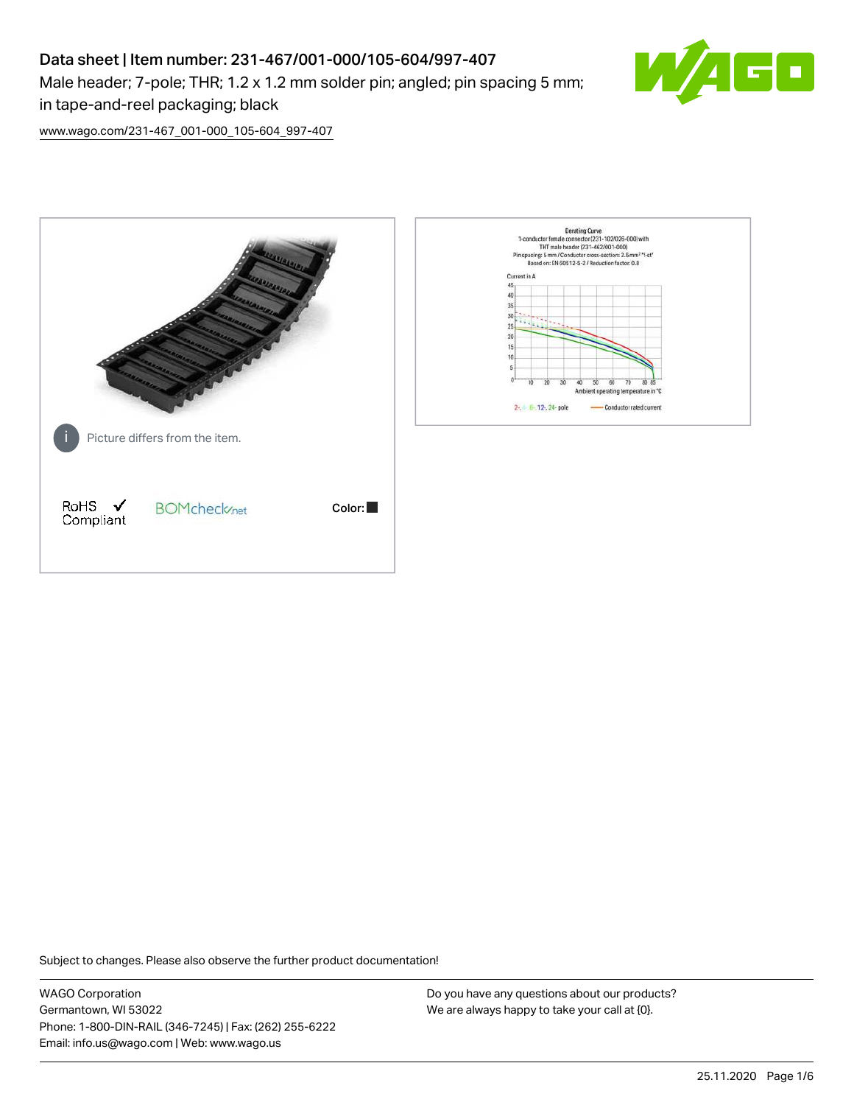# Data sheet | Item number: 231-467/001-000/105-604/997-407 Male header; 7-pole; THR; 1.2 x 1.2 mm solder pin; angled; pin spacing 5 mm; in tape-and-reel packaging; black



[www.wago.com/231-467\\_001-000\\_105-604\\_997-407](http://www.wago.com/231-467_001-000_105-604_997-407)



Subject to changes. Please also observe the further product documentation!

WAGO Corporation Germantown, WI 53022 Phone: 1-800-DIN-RAIL (346-7245) | Fax: (262) 255-6222 Email: info.us@wago.com | Web: www.wago.us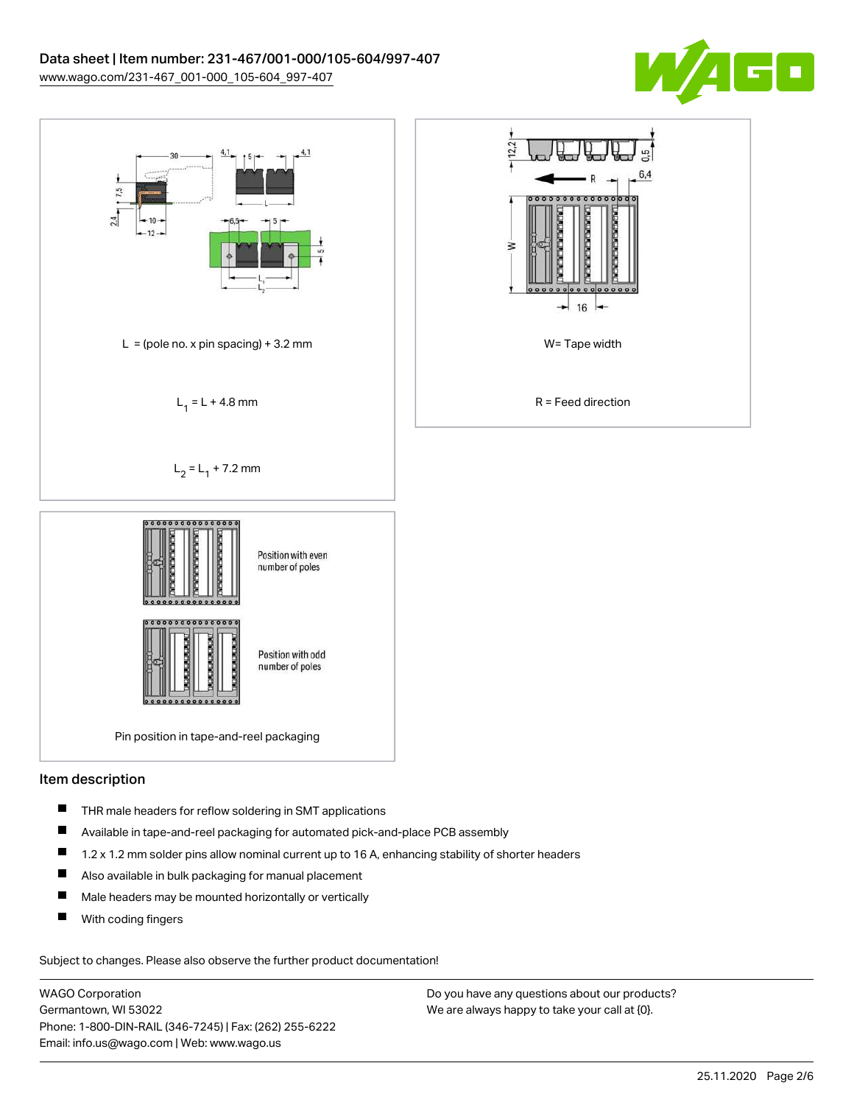



### Item description

- $\blacksquare$ THR male headers for reflow soldering in SMT applications
- П Available in tape-and-reel packaging for automated pick-and-place PCB assembly
- $\blacksquare$ 1.2 x 1.2 mm solder pins allow nominal current up to 16 A, enhancing stability of shorter headers
- $\blacksquare$ Also available in bulk packaging for manual placement
- $\blacksquare$ Male headers may be mounted horizontally or vertically
- П With coding fingers

Subject to changes. Please also observe the further product documentation!

WAGO Corporation Germantown, WI 53022 Phone: 1-800-DIN-RAIL (346-7245) | Fax: (262) 255-6222 Email: info.us@wago.com | Web: www.wago.us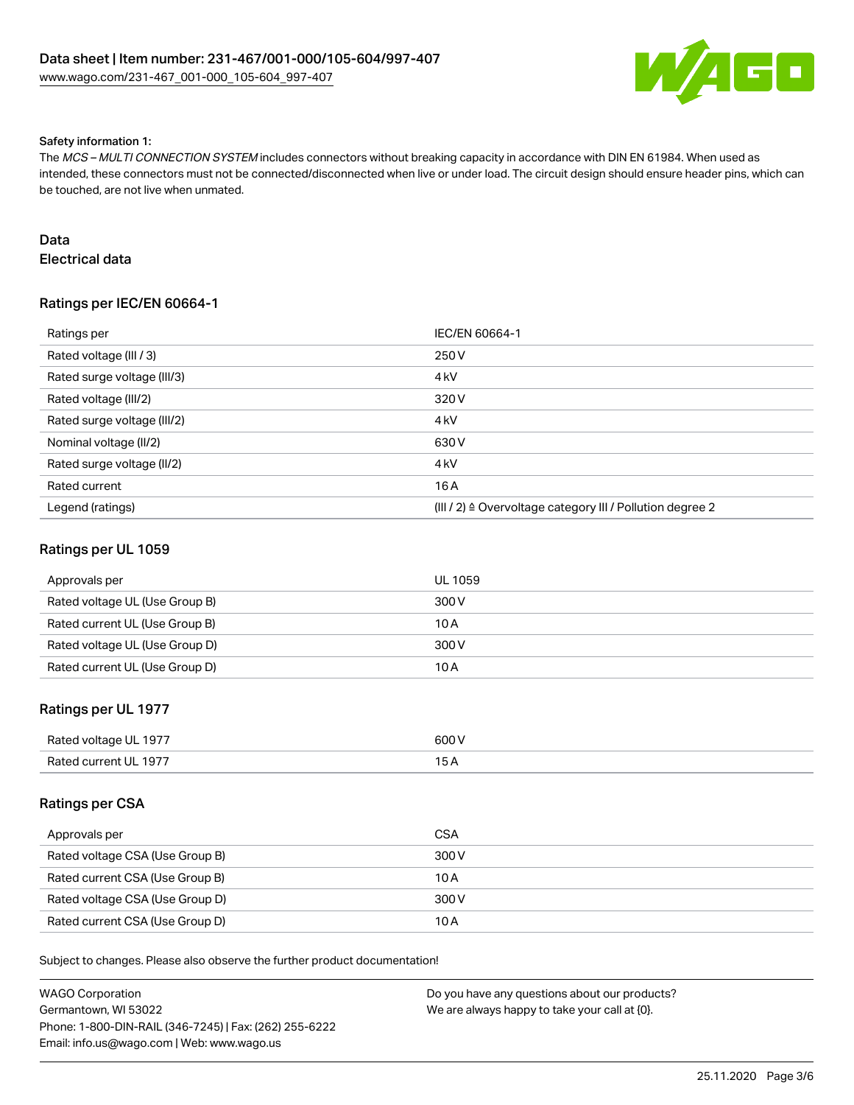

#### Safety information 1:

The MCS – MULTI CONNECTION SYSTEM includes connectors without breaking capacity in accordance with DIN EN 61984. When used as intended, these connectors must not be connected/disconnected when live or under load. The circuit design should ensure header pins, which can be touched, are not live when unmated.

### Data

Electrical data

# Ratings per IEC/EN 60664-1

| Ratings per                 | IEC/EN 60664-1                                            |
|-----------------------------|-----------------------------------------------------------|
| Rated voltage (III / 3)     | 250 V                                                     |
| Rated surge voltage (III/3) | 4 <sub>k</sub> V                                          |
| Rated voltage (III/2)       | 320 V                                                     |
| Rated surge voltage (III/2) | 4 <sub>k</sub> V                                          |
| Nominal voltage (II/2)      | 630 V                                                     |
| Rated surge voltage (II/2)  | 4 <sub>kV</sub>                                           |
| Rated current               | 16 A                                                      |
| Legend (ratings)            | (III / 2) ≙ Overvoltage category III / Pollution degree 2 |

### Ratings per UL 1059

| Approvals per                  | <b>UL 1059</b> |
|--------------------------------|----------------|
| Rated voltage UL (Use Group B) | 300 V          |
| Rated current UL (Use Group B) | 10 A           |
| Rated voltage UL (Use Group D) | 300 V          |
| Rated current UL (Use Group D) | 10 A           |

## Ratings per UL 1977

| Rated voltage UL 1977 | 600V |
|-----------------------|------|
| Rated current UL 1977 |      |

### Ratings per CSA

| Approvals per                   | <b>CSA</b> |
|---------------------------------|------------|
| Rated voltage CSA (Use Group B) | 300 V      |
| Rated current CSA (Use Group B) | 10 A       |
| Rated voltage CSA (Use Group D) | 300 V      |
| Rated current CSA (Use Group D) | 10 A       |

Subject to changes. Please also observe the further product documentation!

| WAGO Corporation                                       | Do you have any questions about our products? |
|--------------------------------------------------------|-----------------------------------------------|
| Germantown. WI 53022                                   | We are always happy to take your call at {0}. |
| Phone: 1-800-DIN-RAIL (346-7245)   Fax: (262) 255-6222 |                                               |
| Email: info.us@wago.com   Web: www.wago.us             |                                               |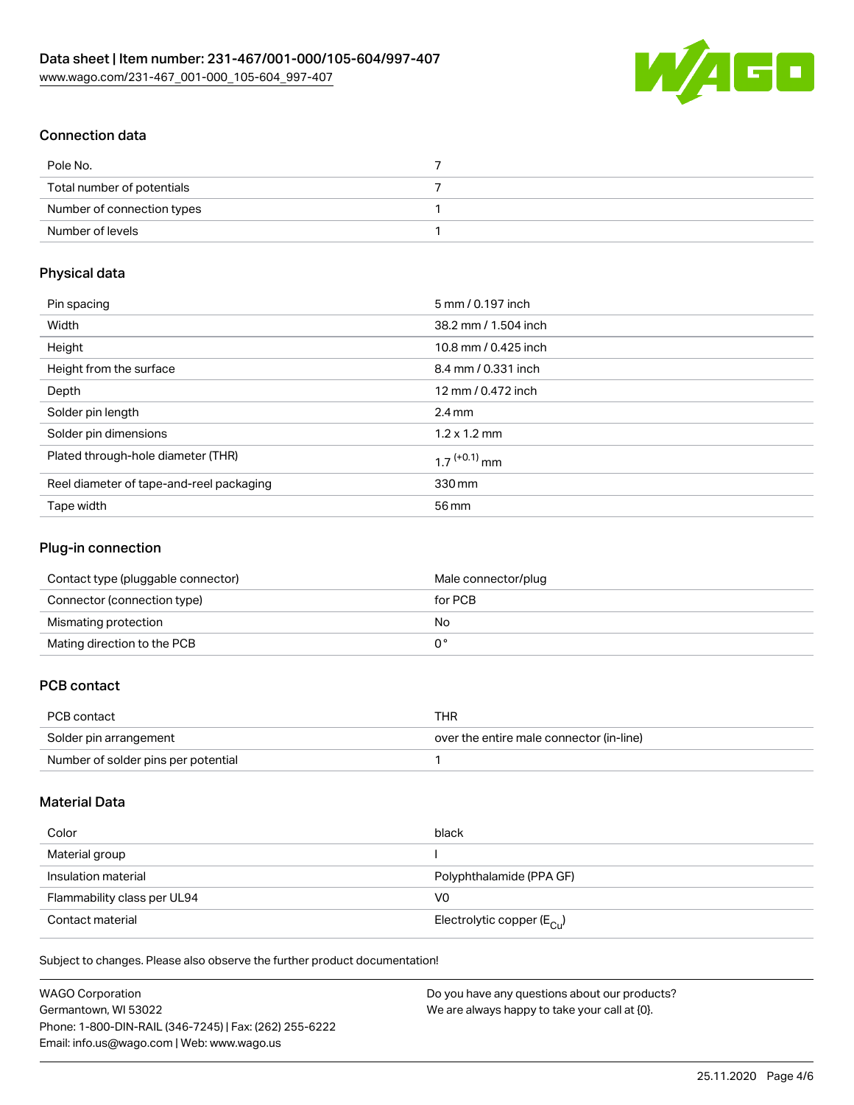

# Connection data

| Pole No.                   |  |
|----------------------------|--|
| Total number of potentials |  |
| Number of connection types |  |
| Number of levels           |  |

# Physical data

| Pin spacing                              | 5 mm / 0.197 inch          |
|------------------------------------------|----------------------------|
| Width                                    | 38.2 mm / 1.504 inch       |
| Height                                   | 10.8 mm / 0.425 inch       |
| Height from the surface                  | 8.4 mm / 0.331 inch        |
| Depth                                    | 12 mm / 0.472 inch         |
| Solder pin length                        | $2.4 \text{ mm}$           |
| Solder pin dimensions                    | $1.2 \times 1.2$ mm        |
| Plated through-hole diameter (THR)       | $1.7$ <sup>(+0.1)</sup> mm |
| Reel diameter of tape-and-reel packaging | 330 mm                     |
| Tape width                               | 56 mm                      |

### Plug-in connection

| Contact type (pluggable connector) | Male connector/plug |
|------------------------------------|---------------------|
| Connector (connection type)        | for PCB             |
| Mismating protection               | No                  |
| Mating direction to the PCB        |                     |

# PCB contact

| PCB contact                         | THR                                      |
|-------------------------------------|------------------------------------------|
| Solder pin arrangement              | over the entire male connector (in-line) |
| Number of solder pins per potential |                                          |

# Material Data

| Color                       | black                                   |
|-----------------------------|-----------------------------------------|
| Material group              |                                         |
| Insulation material         | Polyphthalamide (PPA GF)                |
| Flammability class per UL94 | V0                                      |
| Contact material            | Electrolytic copper ( $E_{\text{Cu}}$ ) |

Subject to changes. Please also observe the further product documentation!

| <b>WAGO Corporation</b>                                | Do you have any questions about our products? |
|--------------------------------------------------------|-----------------------------------------------|
| Germantown, WI 53022                                   | We are always happy to take your call at {0}. |
| Phone: 1-800-DIN-RAIL (346-7245)   Fax: (262) 255-6222 |                                               |
| Email: info.us@wago.com   Web: www.wago.us             |                                               |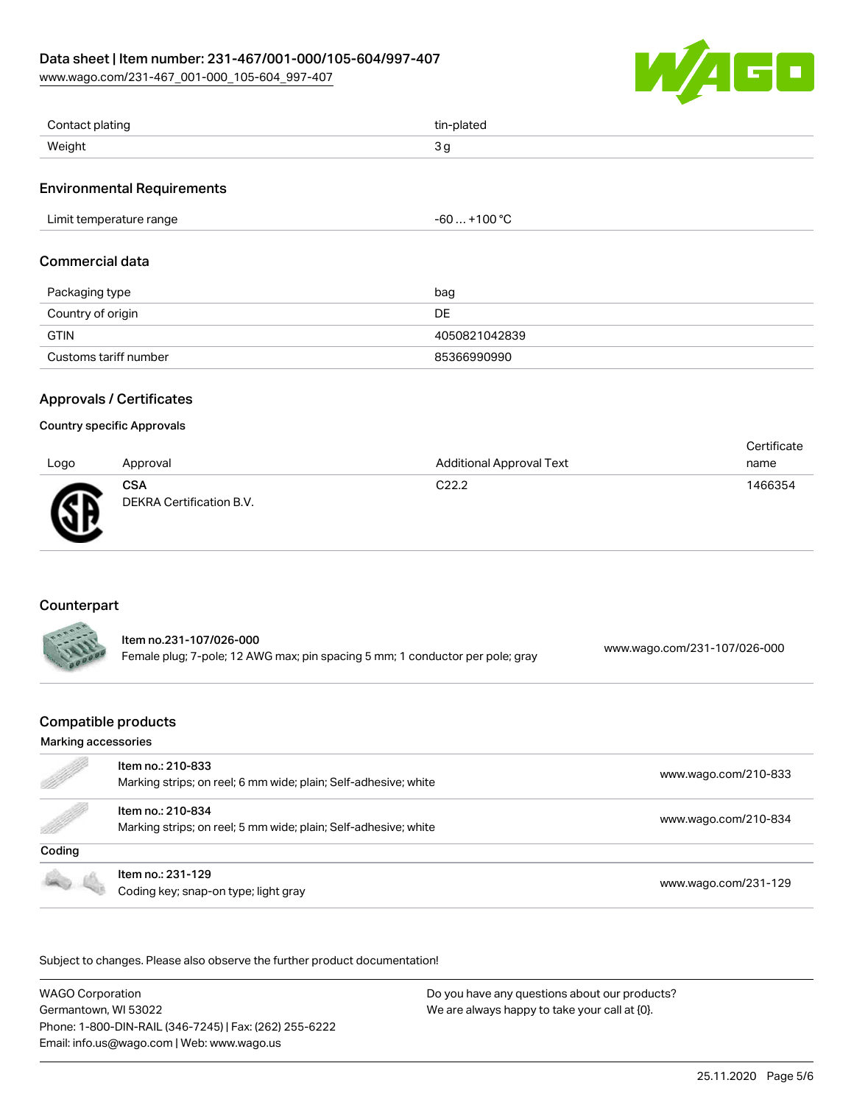### Data sheet | Item number: 231-467/001-000/105-604/997-407

[www.wago.com/231-467\\_001-000\\_105-604\\_997-407](http://www.wago.com/231-467_001-000_105-604_997-407)



| Contact plating | tin-plated |
|-----------------|------------|
| Weight          | ັັ         |

### Environmental Requirements

| Limit temperature range<br>$   -$ | $. +100 °C$<br>-60<br>.<br>___ |
|-----------------------------------|--------------------------------|
|-----------------------------------|--------------------------------|

### Commercial data

| Packaging type        | bag           |
|-----------------------|---------------|
| Country of origin     | DE            |
| GTIN                  | 4050821042839 |
| Customs tariff number | 85366990990   |

### Approvals / Certificates

#### Country specific Approvals

| Logo | Approval                               | <b>Additional Approval Text</b> | Certificate<br>name |
|------|----------------------------------------|---------------------------------|---------------------|
| Ж    | <b>CSA</b><br>DEKRA Certification B.V. | C <sub>22.2</sub>               | 1466354             |

# Counterpart

| ltem no.231-107/026-000                                                       |                              |
|-------------------------------------------------------------------------------|------------------------------|
| Female plug; 7-pole; 12 AWG max; pin spacing 5 mm; 1 conductor per pole; gray | www.wago.com/231-107/026-000 |

# Compatible products

#### Marking accessories

| e de la comparación de la comparación de la comparación de la comparación de la comparación de la comparación de<br>La comparación de la comparación de la comparación de la comparación de la comparación de la comparación de l | Item no.: 210-833<br>Marking strips; on reel; 6 mm wide; plain; Self-adhesive; white | www.wago.com/210-833 |
|-----------------------------------------------------------------------------------------------------------------------------------------------------------------------------------------------------------------------------------|--------------------------------------------------------------------------------------|----------------------|
| <b>Sold Street Section</b>                                                                                                                                                                                                        | Item no.: 210-834<br>Marking strips; on reel; 5 mm wide; plain; Self-adhesive; white | www.wago.com/210-834 |
| Coding                                                                                                                                                                                                                            |                                                                                      |                      |
|                                                                                                                                                                                                                                   | Item no.: 231-129<br>Coding key; snap-on type; light gray                            | www.wago.com/231-129 |

Subject to changes. Please also observe the further product documentation!

WAGO Corporation Germantown, WI 53022 Phone: 1-800-DIN-RAIL (346-7245) | Fax: (262) 255-6222 Email: info.us@wago.com | Web: www.wago.us